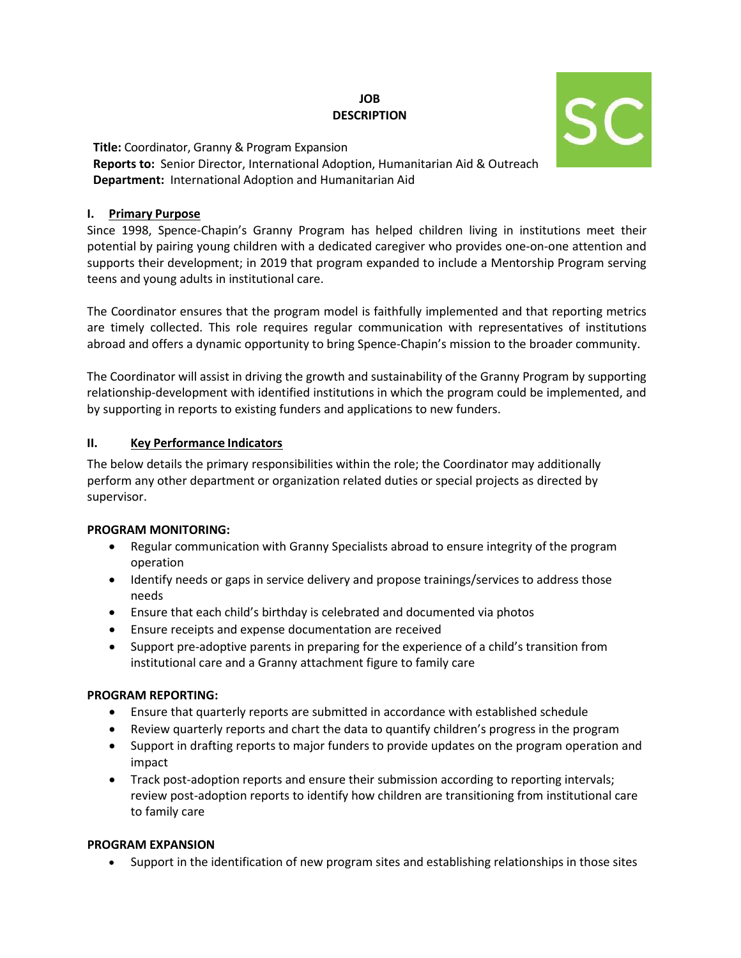# **JOB DESCRIPTION**



**Title:** Coordinator, Granny & Program Expansion **Reports to:** Senior Director, International Adoption, Humanitarian Aid & Outreach **Department:** International Adoption and Humanitarian Aid

### **I. Primary Purpose**

Since 1998, Spence-Chapin's Granny Program has helped children living in institutions meet their potential by pairing young children with a dedicated caregiver who provides one-on-one attention and supports their development; in 2019 that program expanded to include a Mentorship Program serving teens and young adults in institutional care.

The Coordinator ensures that the program model is faithfully implemented and that reporting metrics are timely collected. This role requires regular communication with representatives of institutions abroad and offers a dynamic opportunity to bring Spence-Chapin's mission to the broader community.

The Coordinator will assist in driving the growth and sustainability of the Granny Program by supporting relationship-development with identified institutions in which the program could be implemented, and by supporting in reports to existing funders and applications to new funders.

# **II. Key Performance Indicators**

The below details the primary responsibilities within the role; the Coordinator may additionally perform any other department or organization related duties or special projects as directed by supervisor.

#### **PROGRAM MONITORING:**

- Regular communication with Granny Specialists abroad to ensure integrity of the program operation
- Identify needs or gaps in service delivery and propose trainings/services to address those needs
- Ensure that each child's birthday is celebrated and documented via photos
- Ensure receipts and expense documentation are received
- Support pre-adoptive parents in preparing for the experience of a child's transition from institutional care and a Granny attachment figure to family care

# **PROGRAM REPORTING:**

- Ensure that quarterly reports are submitted in accordance with established schedule
- Review quarterly reports and chart the data to quantify children's progress in the program
- Support in drafting reports to major funders to provide updates on the program operation and impact
- Track post-adoption reports and ensure their submission according to reporting intervals; review post-adoption reports to identify how children are transitioning from institutional care to family care

# **PROGRAM EXPANSION**

• Support in the identification of new program sites and establishing relationships in those sites